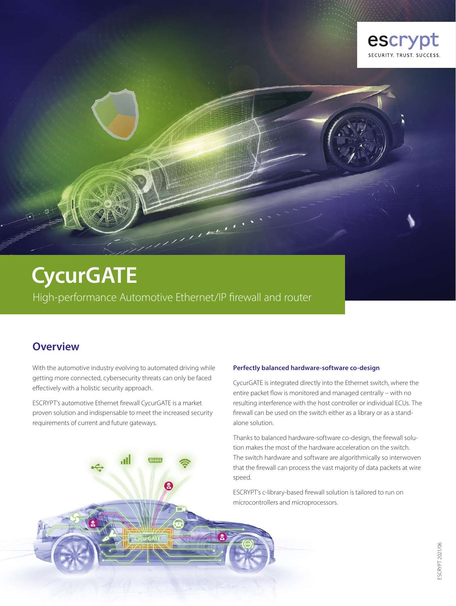

# **CycurGATE**

High-performance Automotive Ethernet/IP firewall and router

A

### **Overview**

With the automotive industry evolving to automated driving while getting more connected, cybersecurity threats can only be faced effectively with a holistic security approach.

ESCRYPT's automotive Ethernet firewall CycurGATE is a market proven solution and indispensable to meet the increased security requirements of current and future gateways.

### **Perfectly balanced hardware-software co-design**

CycurGATE is integrated directly into the Ethernet switch, where the entire packet flow is monitored and managed centrally – with no resulting interference with the host controller or individual ECUs. The firewall can be used on the switch either as a library or as a standalone solution.

Thanks to balanced hardware-software co-design, the firewall solution makes the most of the hardware acceleration on the switch. The switch hardware and software are algorithmically so interwoven that the firewall can process the vast majority of data packets at wire speed.

ESCRYPT's c-library-based firewall solution is tailored to run on microcontrollers and microprocessors.